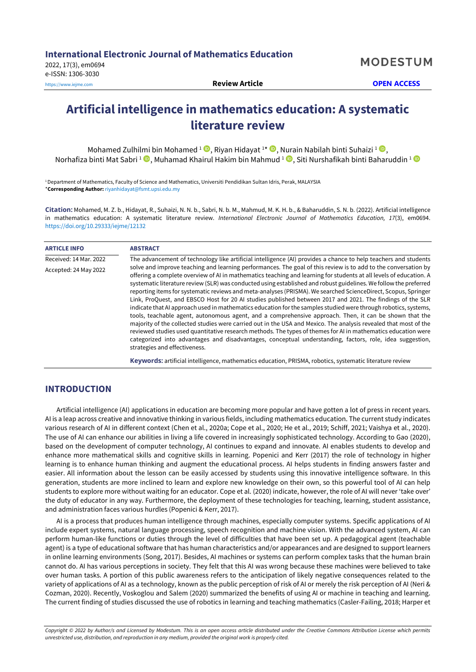# **Artificial intelligence in mathematics education: A systematic literature review**

Mohamed Zulhilmi bin Mohamed <sup>1</sup> (, Riyan Hidayat <sup>1\*</sup> (, Nurain Nabilah binti Suhaizi <sup>1</sup> (, , Norhafiza binti Mat Sabri <sup>1</sup> <sup>1</sup>, Muhamad Khairul Hakim bin Mahmud <sup>1 1</sup>, Siti Nurshafikah binti Baharuddin <sup>1</sup>

<sup>1</sup>Department of Mathematics, Faculty of Science and Mathematics, Universiti Pendidikan Sultan Idris, Perak, MALAYSIA \***Corresponding Author:** [riyanhidayat@fsmt.upsi.edu.my](mailto:riyanhidayat@fsmt.upsi.edu.my)

**Citation:** Mohamed, M. Z. b., Hidayat, R., Suhaizi, N. N. b., Sabri, N. b. M., Mahmud, M. K. H. b., & Baharuddin, S. N. b. (2022). Artificial intelligence in mathematics education: A systematic literature review. *International Electronic Journal of Mathematics Education, 17*(3), em0694. <https://doi.org/10.29333/iejme/12132>

| <b>ARTICLE INFO</b>    | <b>ABSTRACT</b>                                                                                                                                                                                                                                                                                                                                                                                                                                                                                                                                                                                                                                                                                                                                                                                                                                                                                                                                                                                                                                                                                                                                                                                         |  |
|------------------------|---------------------------------------------------------------------------------------------------------------------------------------------------------------------------------------------------------------------------------------------------------------------------------------------------------------------------------------------------------------------------------------------------------------------------------------------------------------------------------------------------------------------------------------------------------------------------------------------------------------------------------------------------------------------------------------------------------------------------------------------------------------------------------------------------------------------------------------------------------------------------------------------------------------------------------------------------------------------------------------------------------------------------------------------------------------------------------------------------------------------------------------------------------------------------------------------------------|--|
| Received: 14 Mar. 2022 | The advancement of technology like artificial intelligence (AI) provides a chance to help teachers and students                                                                                                                                                                                                                                                                                                                                                                                                                                                                                                                                                                                                                                                                                                                                                                                                                                                                                                                                                                                                                                                                                         |  |
| Accepted: 24 May 2022  | solve and improve teaching and learning performances. The goal of this review is to add to the conversation by<br>offering a complete overview of AI in mathematics teaching and learning for students at all levels of education. A<br>systematic literature review (SLR) was conducted using established and robust guidelines. We follow the preferred<br>reporting items for systematic reviews and meta-analyses (PRISMA). We searched ScienceDirect, Scopus, Springer<br>Link, ProQuest, and EBSCO Host for 20 AI studies published between 2017 and 2021. The findings of the SLR<br>indicate that AI approach used in mathematics education for the samples studied were through robotics, systems,<br>tools, teachable agent, autonomous agent, and a comprehensive approach. Then, it can be shown that the<br>majority of the collected studies were carried out in the USA and Mexico. The analysis revealed that most of the<br>reviewed studies used quantitative research methods. The types of themes for AI in mathematics education were<br>categorized into advantages and disadvantages, conceptual understanding, factors, role, idea suggestion,<br>strategies and effectiveness. |  |
|                        | <b>Keywords:</b> artificial intelligence, mathematics education, PRISMA, robotics, systematic literature review                                                                                                                                                                                                                                                                                                                                                                                                                                                                                                                                                                                                                                                                                                                                                                                                                                                                                                                                                                                                                                                                                         |  |

# **INTRODUCTION**

Artificial intelligence (AI) applications in education are becoming more popular and have gotten a lot of press in recent years. AI is a leap across creative and innovative thinking in various fields, including mathematics education. The current study indicates various research of AI in different context (Chen et al., 2020a; Cope et al., 2020; He et al., 2019; Schiff, 2021; Vaishya et al., 2020). The use of AI can enhance our abilities in living a life covered in increasingly sophisticated technology. According to Gao (2020), based on the development of computer technology, AI continues to expand and innovate. AI enables students to develop and enhance more mathematical skills and cognitive skills in learning. Popenici and Kerr (2017) the role of technology in higher learning is to enhance human thinking and augment the educational process. AI helps students in finding answers faster and easier. All information about the lesson can be easily accessed by students using this innovative intelligence software. In this generation, students are more inclined to learn and explore new knowledge on their own, so this powerful tool of AI can help students to explore more without waiting for an educator. Cope et al. (2020) indicate, however, the role of AI will never 'take over' the duty of educator in any way. Furthermore, the deployment of these technologies for teaching, learning, student assistance, and administration faces various hurdles (Popenici & Kerr, 2017).

AI is a process that produces human intelligence through machines, especially computer systems. Specific applications of AI include expert systems, natural language processing, speech recognition and machine vision. With the advanced system, AI can perform human-like functions or duties through the level of difficulties that have been set up. A pedagogical agent (teachable agent) is a type of educational software that has human characteristics and/or appearances and are designed to support learners in online learning environments (Song, 2017). Besides, AI machines or systems can perform complex tasks that the human brain cannot do. AI has various perceptions in society. They felt that this AI was wrong because these machines were believed to take over human tasks. A portion of this public awareness refers to the anticipation of likely negative consequences related to the variety of applications of AI as a technology, known as the public perception of risk of AI or merely the risk perception of AI (Neri & Cozman, 2020). Recently, Voskoglou and Salem (2020) summarized the benefits of using AI or machine in teaching and learning. The current finding of studies discussed the use of robotics in learning and teaching mathematics (Casler-Failing, 2018; Harper et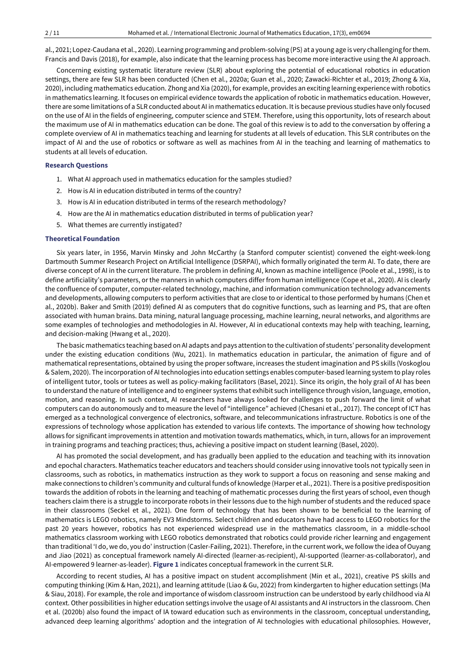al., 2021; Lopez-Caudana et al., 2020). Learning programming and problem-solving (PS) at a young age is very challenging forthem. Francis and Davis (2018), for example, also indicate that the learning process has become more interactive using the AI approach.

Concerning existing systematic literature review (SLR) about exploring the potential of educational robotics in education settings, there are few SLR has been conducted (Chen et al., 2020a; Guan et al., 2020; Zawacki-Richter et al., 2019; Zhong & Xia, 2020), including mathematics education. Zhong and Xia (2020), for example, provides an exciting learning experience with robotics in mathematics learning. Itfocuses on empirical evidence towards the application of robotic in mathematics education. However, there are some limitations of a SLR conducted about AI in mathematics education. Itis because previous studies have only focused on the use of AI in the fields of engineering, computer science and STEM. Therefore, using this opportunity, lots of research about the maximum use of AI in mathematics education can be done. The goal of this review is to add to the conversation by offering a complete overview of AI in mathematics teaching and learning for students at all levels of education. This SLR contributes on the impact of AI and the use of robotics or software as well as machines from AI in the teaching and learning of mathematics to students at all levels of education.

### **Research Questions**

- 1. What AI approach used in mathematics education for the samples studied?
- 2. How is AI in education distributed in terms of the country?
- 3. How is AI in education distributed in terms of the research methodology?
- 4. How are the AI in mathematics education distributed in terms of publication year?
- 5. What themes are currently instigated?

### **Theoretical Foundation**

Six years later, in 1956, Marvin Minsky and John McCarthy (a Stanford computer scientist) convened the eight-week-long Dartmouth Summer Research Project on Artificial Intelligence (DSRPAI), which formally originated the term AI. To date, there are diverse concept of AI in the current literature. The problem in defining AI, known as machine intelligence (Poole et al., 1998), is to define artificiality's parameters, or the manners in which computers differ from human intelligence (Cope et al., 2020). AI is clearly the confluence of computer, computer-related technology, machine, and information communication technology advancements and developments, allowing computers to perform activities that are close to or identical to those performed by humans (Chen et al., 2020b). Baker and Smith (2019) defined AI as computers that do cognitive functions, such as learning and PS, that are often associated with human brains. Data mining, natural language processing, machine learning, neural networks, and algorithms are some examples of technologies and methodologies in AI. However, AI in educational contexts may help with teaching, learning, and decision-making (Hwang et al., 2020).

The basic mathematics teaching based on AI adapts and pays attention to the cultivation of students' personality development under the existing education conditions (Wu, 2021). In mathematics education in particular, the animation of figure and of mathematical representations, obtained by using the proper software, increases the student imagination and PS skills (Voskoglou & Salem, 2020). The incorporation of AItechnologies into education settings enables computer-based learning system to play roles of intelligent tutor, tools or tutees as well as policy-making facilitators (Basel, 2021). Since its origin, the holy grail of AI has been to understand the nature of intelligence and to engineer systems that exhibit such intelligence through vision, language, emotion, motion, and reasoning. In such context, AI researchers have always looked for challenges to push forward the limit of what computers can do autonomously and to measure the level of "intelligence" achieved (Chesani et al., 2017). The concept of ICT has emerged as a technological convergence of electronics, software, and telecommunications infrastructure. Robotics is one of the expressions of technology whose application has extended to various life contexts. The importance of showing how technology allows for significant improvements in attention and motivation towards mathematics, which, in turn, allows for an improvement in training programs and teaching practices; thus, achieving a positive impact on student learning (Basel, 2020).

AI has promoted the social development, and has gradually been applied to the education and teaching with its innovation and epochal characters. Mathematics teacher educators and teachers should consider using innovative tools not typically seen in classrooms, such as robotics, in mathematics instruction as they work to support a focus on reasoning and sense making and make connections to children's community and cultural funds of knowledge (Harper et al., 2021). There is a positive predisposition towards the addition of robots in the learning and teaching of mathematic processes during the first years of school, even though teachers claim there is a struggle to incorporate robots in their lessons due to the high number of students and the reduced space in their classrooms (Seckel et al., 2021). One form of technology that has been shown to be beneficial to the learning of mathematics is LEGO robotics, namely EV3 Mindstorms. Select children and educators have had access to LEGO robotics for the past 20 years however, robotics has not experienced widespread use in the mathematics classroom, in a middle-school mathematics classroom working with LEGO robotics demonstrated that robotics could provide richer learning and engagement than traditional 'I do, we do, you do' instruction (Casler-Failing, 2021). Therefore, in the current work, we follow the idea ofOuyang and Jiao (2021) as conceptual framework namely AI-directed (learner-as-recipient), AI-supported (learner-as-collaborator), and AI-empowered 9 learner-as-leader). **Figure 1** indicates conceptual framework in the current SLR.

According to recent studies, AI has a positive impact on student accomplishment (Min et al., 2021), creative PS skills and computing thinking (Kim & Han, 2021), and learning attitude (Liao & Gu, 2022) from kindergarten to higher education settings (Ma & Siau, 2018). For example, the role and importance of wisdom classroom instruction can be understood by early childhood via AI context. Other possibilities in higher education settings involve the usage of AI assistants and AI instructors in the classroom. Chen et al. (2020b) also found the impact of IA toward education such as environments in the classroom, conceptual understanding, advanced deep learning algorithms' adoption and the integration of AI technologies with educational philosophies. However,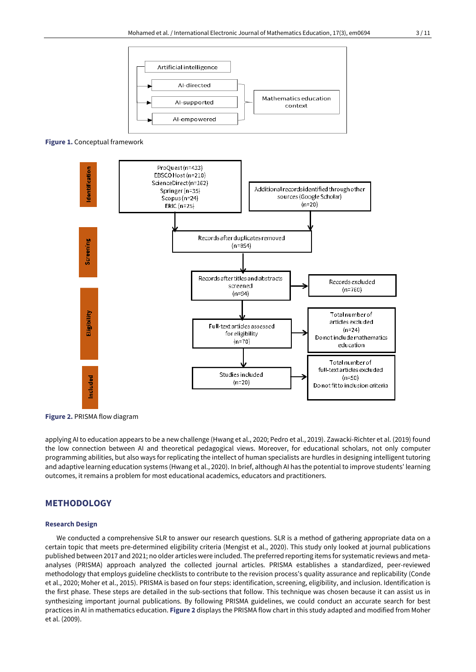

**Figure 1.** Conceptual framework



**Figure 2.** PRISMA flow diagram

applying AI to education appears to be a new challenge (Hwang et al., 2020; Pedro et al., 2019). Zawacki-Richter et al. (2019) found the low connection between AI and theoretical pedagogical views. Moreover, for educational scholars, not only computer programming abilities, but also ways for replicating the intellect of human specialists are hurdles in designing intelligent tutoring and adaptive learning education systems (Hwang et al., 2020). In brief, although AI has the potential to improve students' learning outcomes, it remains a problem for most educational academics, educators and practitioners.

# **METHODOLOGY**

### **Research Design**

We conducted a comprehensive SLR to answer our research questions. SLR is a method of gathering appropriate data on a certain topic that meets pre-determined eligibility criteria (Mengist et al., 2020). This study only looked at journal publications published between 2017 and 2021; no older articles were included. The preferred reporting items for systematic reviews and metaanalyses (PRISMA) approach analyzed the collected journal articles. PRISMA establishes a standardized, peer-reviewed methodology that employs guideline checklists to contribute to the revision process's quality assurance and replicability (Conde et al., 2020; Moher et al., 2015). PRISMA is based on four steps: identification, screening, eligibility, and inclusion. Identification is the first phase. These steps are detailed in the sub-sections that follow. This technique was chosen because it can assist us in synthesizing important journal publications. By following PRISMA guidelines, we could conduct an accurate search for best practices in AI in mathematics education. **Figure 2** displays the PRISMA flow chart in this study adapted and modified from Moher et al. (2009).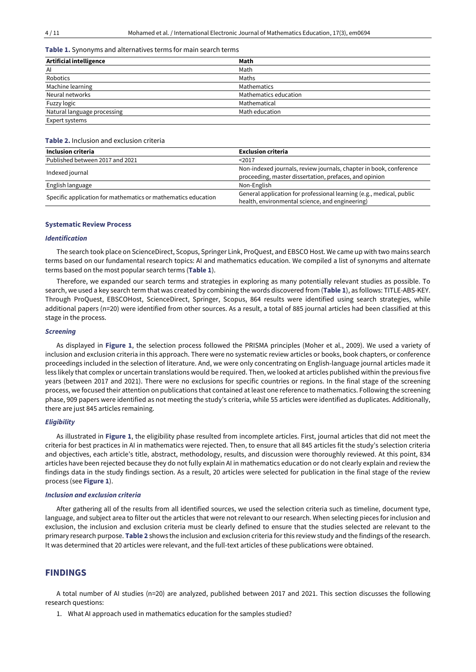### **Table 1.** Synonyms and alternatives terms for main search terms

| Artificial intelligence     | Math                  |
|-----------------------------|-----------------------|
| Al                          | Math                  |
| Robotics                    | Maths                 |
| Machine learning            | Mathematics           |
| Neural networks             | Mathematics education |
| Fuzzy logic                 | Mathematical          |
| Natural language processing | Math education        |
| Expert systems              |                       |

#### **Table 2.** Inclusion and exclusion criteria

| Inclusion criteria                                            | <b>Exclusion criteria</b>                                                                                                    |
|---------------------------------------------------------------|------------------------------------------------------------------------------------------------------------------------------|
| Published between 2017 and 2021                               | 2017                                                                                                                         |
| Indexed journal                                               | Non-indexed journals, review journals, chapter in book, conference<br>proceeding, master dissertation, prefaces, and opinion |
| English language                                              | Non-English                                                                                                                  |
| Specific application for mathematics or mathematics education | General application for professional learning (e.g., medical, public<br>health, environmental science, and engineering)      |

### **Systematic Review Process**

### *Identification*

The search took place on ScienceDirect, Scopus, Springer Link, ProQuest, and EBSCO Host. We came up with two mains search terms based on our fundamental research topics: AI and mathematics education. We compiled a list of synonyms and alternate terms based on the most popular search terms (**Table 1**).

Therefore, we expanded our search terms and strategies in exploring as many potentially relevant studies as possible. To search, we used a key search term that was created by combining the words discovered from (**Table 1**), as follows: TITLE-ABS-KEY. Through ProQuest, EBSCOHost, ScienceDirect, Springer, Scopus, 864 results were identified using search strategies, while additional papers (n=20) were identified from other sources. As a result, a total of 885 journal articles had been classified at this stage in the process.

### *Screening*

As displayed in **Figure 1**, the selection process followed the PRISMA principles (Moher et al., 2009). We used a variety of inclusion and exclusion criteria in this approach. There were no systematic review articles or books, book chapters, or conference proceedings included in the selection of literature. And, we were only concentrating on English-language journal articles made it less likely that complex or uncertain translations would be required. Then, we looked at articles published within the previous five years (between 2017 and 2021). There were no exclusions for specific countries or regions. In the final stage of the screening process, we focused their attention on publications that contained atleast one reference to mathematics. Following the screening phase, 909 papers were identified as not meeting the study's criteria, while 55 articles were identified as duplicates. Additionally, there are just 845 articles remaining.

### *Eligibility*

As illustrated in **Figure 1**, the eligibility phase resulted from incomplete articles. First, journal articles that did not meet the criteria for best practices in AI in mathematics were rejected. Then, to ensure that all 845 articles fit the study's selection criteria and objectives, each article's title, abstract, methodology, results, and discussion were thoroughly reviewed. At this point, 834 articles have been rejected because they do not fully explain AI in mathematics education or do not clearly explain and review the findings data in the study findings section. As a result, 20 articles were selected for publication in the final stage of the review process (see **Figure 1**).

### *Inclusion and exclusion criteria*

After gathering all of the results from all identified sources, we used the selection criteria such as timeline, document type, language, and subject area to filter out the articles that were not relevant to our research. When selecting pieces for inclusion and exclusion, the inclusion and exclusion criteria must be clearly defined to ensure that the studies selected are relevant to the primary research purpose. **Table 2** shows the inclusion and exclusion criteria for this review study and the findings of the research. It was determined that 20 articles were relevant, and the full-text articles of these publications were obtained.

### **FINDINGS**

A total number of AI studies (n=20) are analyzed, published between 2017 and 2021. This section discusses the following research questions:

1. What AI approach used in mathematics education for the samples studied?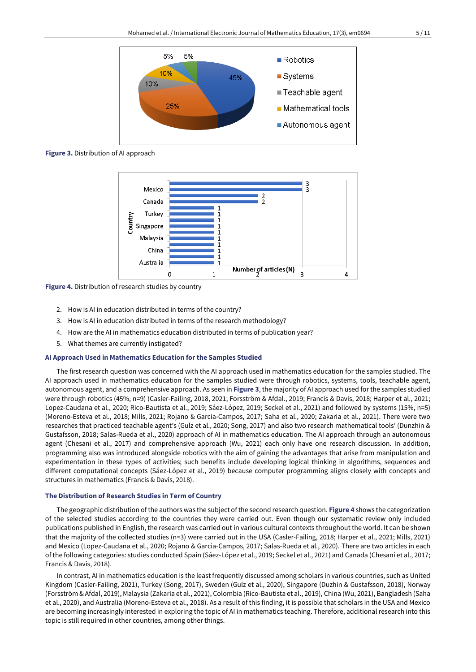

**Figure 3.** Distribution of AI approach



**Figure 4.** Distribution of research studies by country

- 2. How is AI in education distributed in terms of the country?
- 3. How is AI in education distributed in terms of the research methodology?
- 4. How are the AI in mathematics education distributed in terms of publication year?
- 5. What themes are currently instigated?

### **AI Approach Used in Mathematics Education for the Samples Studied**

The first research question was concerned with the AI approach used in mathematics education for the samples studied. The AI approach used in mathematics education for the samples studied were through robotics, systems, tools, teachable agent, autonomous agent, and a comprehensive approach. As seen in **Figure 3**, the majority of AI approach used for the samples studied were through robotics (45%, n=9) (Casler-Failing, 2018, 2021; Forsström & Afdal., 2019; Francis & Davis, 2018; Harper et al., 2021; Lopez-Caudana et al., 2020; Rico-Bautista et al., 2019; Sáez‐López, 2019; Seckel et al., 2021) and followed by systems (15%, n=5) (Moreno-Esteva et al., 2018; Mills, 2021; Rojano & Garcia-Campos, 2017; Saha et al., 2020; Zakaria et al., 2021). There were two researches that practiced teachable agent's (Gulz et al., 2020; Song, 2017) and also two research mathematical tools' (Dunzhin & Gustafsson, 2018; Salas-Rueda et al., 2020) approach of AI in mathematics education. The AI approach through an autonomous agent (Chesani et al., 2017) and comprehensive approach (Wu, 2021) each only have one research discussion. In addition, programming also was introduced alongside robotics with the aim of gaining the advantages that arise from manipulation and experimentation in these types of activities; such benefits include developing logical thinking in algorithms, sequences and different computational concepts (Sáez‐López et al., 2019) because computer programming aligns closely with concepts and structures in mathematics (Francis & Davis, 2018).

### **The Distribution of Research Studies in Term of Country**

The geographic distribution of the authors was the subject of the second research question. **Figure 4** shows the categorization of the selected studies according to the countries they were carried out. Even though our systematic review only included publications published in English, the research was carried out in various cultural contexts throughout the world. It can be shown that the majority of the collected studies (n=3) were carried out in the USA (Casler-Failing, 2018; Harper et al., 2021; Mills, 2021) and Mexico (Lopez-Caudana et al., 2020; Rojano & Garcia-Campos, 2017; Salas-Rueda et al., 2020). There are two articles in each of the following categories: studies conducted Spain (Sáez‐López et al., 2019; Seckel et al., 2021) and Canada (Chesani et al., 2017; Francis & Davis, 2018).

In contrast, AI in mathematics education is the least frequently discussed among scholars in various countries, such as United Kingdom (Casler-Failing, 2021), Turkey (Song, 2017), Sweden (Gulz et al., 2020), Singapore (Duzhin & Gustafsson, 2018), Norway (Forsström & Afdal, 2019), Malaysia (Zakaria et al., 2021), Colombia (Rico-Bautista et al., 2019), China (Wu, 2021), Bangladesh (Saha et al., 2020), and Australia (Moreno-Esteva et al., 2018). As a result of this finding, it is possible that scholars in the USA and Mexico are becoming increasingly interested in exploring the topic of AI in mathematics teaching. Therefore, additional research into this topic is still required in other countries, among other things.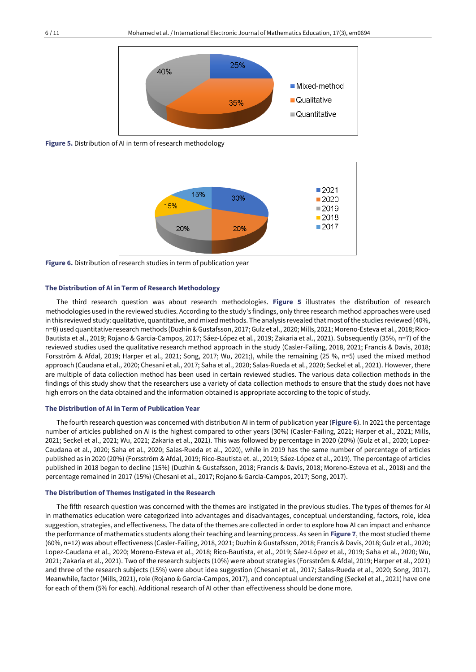

**Figure 5.** Distribution of AI in term of research methodology



**Figure 6.** Distribution of research studies in term of publication year

#### **The Distribution of AI in Term of Research Methodology**

The third research question was about research methodologies. **Figure 5** illustrates the distribution of research methodologies used in the reviewed studies. According to the study's findings, only three research method approaches were used in this reviewed study: qualitative, quantitative, and mixed methods. The analysis revealed that most ofthe studies reviewed (40%, n=8) used quantitative research methods (Duzhin & Gustafsson, 2017; Gulz et al., 2020; Mills, 2021; Moreno-Esteva et al., 2018; Rico-Bautista et al., 2019; Rojano & Garcia-Campos, 2017; Sáez‐López et al., 2019; Zakaria et al., 2021). Subsequently (35%, n=7) of the reviewed studies used the qualitative research method approach in the study (Casler-Failing, 2018, 2021; Francis & Davis, 2018; Forsström & Afdal, 2019; Harper et al., 2021; Song, 2017; Wu, 2021;), while the remaining (25 %, n=5) used the mixed method approach (Caudana et al., 2020; Chesani et al., 2017; Saha et al., 2020; Salas-Rueda et al., 2020; Seckel et al., 2021). However, there are multiple of data collection method has been used in certain reviewed studies. The various data collection methods in the findings of this study show that the researchers use a variety of data collection methods to ensure that the study does not have high errors on the data obtained and the information obtained is appropriate according to the topic of study.

### **The Distribution of AI in Term of Publication Year**

The fourth research question was concerned with distribution AI in term of publication year (**Figure 6**). In 2021 the percentage number of articles published on AI is the highest compared to other years (30%) (Casler-Failing, 2021; Harper et al., 2021; Mills, 2021; Seckel et al., 2021; Wu, 2021; Zakaria et al., 2021). This was followed by percentage in 2020 (20%) (Gulz et al., 2020; Lopez-Caudana et al., 2020; Saha et al., 2020; Salas-Rueda et al., 2020), while in 2019 has the same number of percentage of articles published as in 2020 (20%) (Forsström & Afdal, 2019; Rico-Bautista et. al., 2019; Sáez‐López et al., 2019). The percentage of articles published in 2018 began to decline (15%) (Duzhin & Gustafsson, 2018; Francis & Davis, 2018; Moreno-Esteva et al., 2018) and the percentage remained in 2017 (15%) (Chesani et al., 2017; Rojano & Garcia-Campos, 2017; Song, 2017).

### **The Distribution of Themes Instigated in the Research**

The fifth research question was concerned with the themes are instigated in the previous studies. The types of themes for AI in mathematics education were categorized into advantages and disadvantages, conceptual understanding, factors, role, idea suggestion, strategies, and effectiveness. The data of the themes are collected in order to explore how AI can impact and enhance the performance of mathematics students along their teaching and learning process. As seen in **Figure 7**, the most studied theme (60%, n=12) was about effectiveness (Casler-Failing, 2018, 2021; Duzhin & Gustafsson, 2018; Francis & Davis, 2018; Gulz et al., 2020; Lopez-Caudana et al., 2020; Moreno-Esteva et al., 2018; Rico-Bautista, et al., 2019; Sáez-López et al., 2019; Saha et al., 2020; Wu, 2021; Zakaria et al., 2021). Two of the research subjects (10%) were about strategies (Forsström & Afdal, 2019; Harper et al., 2021) and three of the research subjects (15%) were about idea suggestion (Chesani et al., 2017; Salas-Rueda et al., 2020; Song, 2017). Meanwhile, factor (Mills, 2021), role (Rojano & Garcia-Campos, 2017), and conceptual understanding (Seckel et al., 2021) have one for each of them (5% for each). Additional research of AI other than effectiveness should be done more.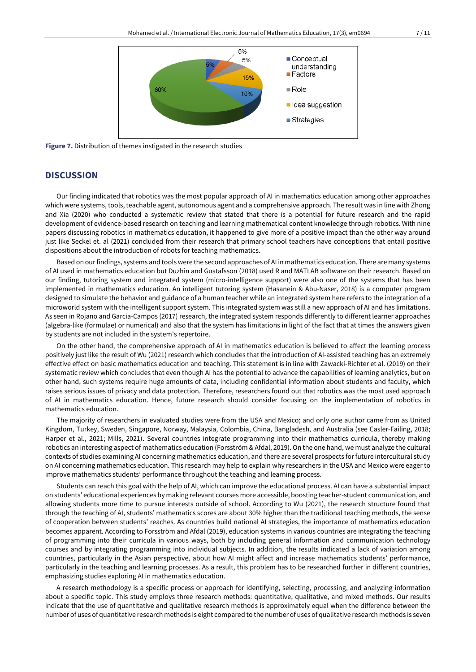

**Figure 7.** Distribution of themes instigated in the research studies

### **DISCUSSION**

Our finding indicated that robotics was the most popular approach of AI in mathematics education among other approaches which were systems, tools, teachable agent, autonomous agent and a comprehensive approach. The result was in line with Zhong and Xia (2020) who conducted a systematic review that stated that there is a potential for future research and the rapid development of evidence-based research on teaching and learning mathematical content knowledge through robotics. With nine papers discussing robotics in mathematics education, it happened to give more of a positive impact than the other way around just like Seckel et. al (2021) concluded from their research that primary school teachers have conceptions that entail positive dispositions about the introduction of robots for teaching mathematics.

Based on ourfindings, systems and tools were the second approaches of AI in mathematics education. There are many systems of AI used in mathematics education but Duzhin and Gustafsson (2018) used R and MATLAB software on their research. Based on our finding, tutoring system and integrated system (micro-intelligence support) were also one of the systems that has been implemented in mathematics education. An intelligent tutoring system (Hasanein & Abu-Naser, 2018) is a computer program designed to simulate the behavior and guidance of a human teacher while an integrated system here refers to the integration of a microworld system with the intelligent support system. This integrated system was still a new approach of AI and has limitations. As seen in Rojano and Garcia-Campos (2017) research, the integrated system responds differently to different learner approaches (algebra-like (formulae) or numerical) and also that the system has limitations in light of the fact that at times the answers given by students are not included in the system's repertoire.

On the other hand, the comprehensive approach of AI in mathematics education is believed to affect the learning process positively just like the result of Wu (2021) research which concludes that the introduction of AI-assisted teaching has an extremely effective effect on basic mathematics education and teaching. This statement is in line with Zawacki-Richter et al. (2019) on their systematic review which concludes that even though AI has the potential to advance the capabilities of learning analytics, but on other hand, such systems require huge amounts of data, including confidential information about students and faculty, which raises serious issues of privacy and data protection. Therefore, researchers found out that robotics was the most used approach of AI in mathematics education. Hence, future research should consider focusing on the implementation of robotics in mathematics education.

The majority of researchers in evaluated studies were from the USA and Mexico; and only one author came from as United Kingdom, Turkey, Sweden, Singapore, Norway, Malaysia, Colombia, China, Bangladesh, and Australia (see Casler-Failing, 2018; Harper et al., 2021; Mills, 2021). Several countries integrate programming into their mathematics curricula, thereby making robotics an interesting aspect of mathematics education (Forsström & Afdal, 2019). On the one hand, we must analyze the cultural contexts of studies examining AI concerning mathematics education, and there are several prospects for future intercultural study on AI concerning mathematics education. This research may help to explain why researchers in the USA and Mexico were eager to improve mathematics students' performance throughout the teaching and learning process.

Students can reach this goal with the help of AI, which can improve the educational process. AI can have a substantial impact on students' educational experiences by making relevant courses more accessible, boosting teacher-student communication, and allowing students more time to pursue interests outside of school. According to Wu (2021), the research structure found that through the teaching of AI, students' mathematics scores are about 30% higher than the traditional teaching methods, the sense of cooperation between students' reaches. As countries build national AI strategies, the importance of mathematics education becomes apparent. According to Forsström and Afdal (2019), education systems in various countries are integrating the teaching of programming into their curricula in various ways, both by including general information and communication technology courses and by integrating programming into individual subjects. In addition, the results indicated a lack of variation among countries, particularly in the Asian perspective, about how AI might affect and increase mathematics students' performance, particularly in the teaching and learning processes. As a result, this problem has to be researched further in different countries, emphasizing studies exploring AI in mathematics education.

A research methodology is a specific process or approach for identifying, selecting, processing, and analyzing information about a specific topic. This study employs three research methods: quantitative, qualitative, and mixed methods. Our results indicate that the use of quantitative and qualitative research methods is approximately equal when the difference between the number of uses of quantitative research methods is eight compared to the number of uses of qualitative research methods is seven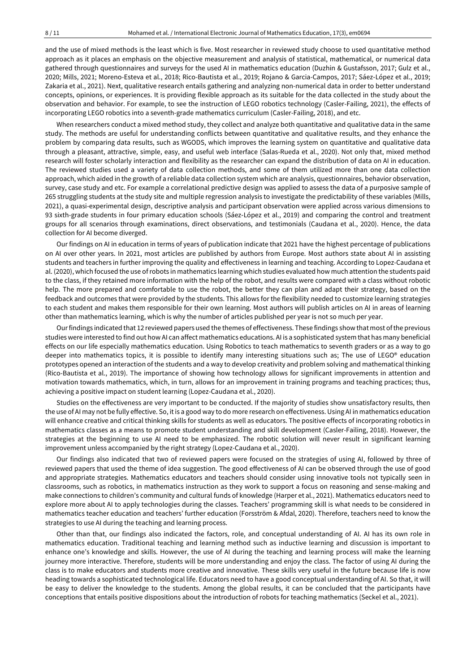and the use of mixed methods is the least which is five. Most researcher in reviewed study choose to used quantitative method approach as it places an emphasis on the objective measurement and analysis of statistical, mathematical, or numerical data gathered through questionnaires and surveys for the used AI in mathematics education (Duzhin & Gustafsson, 2017; Gulz et al., 2020; Mills, 2021; Moreno-Esteva et al., 2018; Rico-Bautista et al., 2019; Rojano & Garcia-Campos, 2017; Sáez‐López et al., 2019; Zakaria et al., 2021). Next, qualitative research entails gathering and analyzing non-numerical data in order to better understand concepts, opinions, or experiences. It is providing flexible approach as its suitable for the data collected in the study about the observation and behavior. For example, to see the instruction of LEGO robotics technology (Casler-Failing, 2021), the effects of incorporating LEGO robotics into a seventh-grade mathematics curriculum (Casler-Failing, 2018), and etc.

When researchers conduct a mixed method study, they collect and analyze both quantitative and qualitative data in the same study. The methods are useful for understanding conflicts between quantitative and qualitative results, and they enhance the problem by comparing data results, such as WGODS, which improves the learning system on quantitative and qualitative data through a pleasant, attractive, simple, easy, and useful web interface (Salas-Rueda et al., 2020). Not only that, mixed method research will foster scholarly interaction and flexibility as the researcher can expand the distribution of data on AI in education. The reviewed studies used a variety of data collection methods, and some of them utilized more than one data collection approach, which aided in the growth of a reliable data collection system which are analysis, questionnaires, behavior observation, survey, case study and etc. For example a correlational predictive design was applied to assess the data of a purposive sample of 265 struggling students at the study site and multiple regression analysis to investigate the predictability of these variables (Mills, 2021), a quasi-experimental design, descriptive analysis and participant observation were applied across various dimensions to 93 sixth-grade students in four primary education schools (Sáez-López et al., 2019) and comparing the control and treatment groups for all scenarios through examinations, direct observations, and testimonials (Caudana et al., 2020). Hence, the data collection for AI become diverged.

Our findings on AI in education in terms of years of publication indicate that 2021 have the highest percentage of publications on AI over other years. In 2021, most articles are published by authors from Europe. Most authors state about AI in assisting students and teachers in further improving the quality and effectiveness in learning and teaching. According to Lopez-Caudana et al. (2020), which focused the use ofrobots in mathematics learning which studies evaluated how much attention the students paid to the class, if they retained more information with the help of the robot, and results were compared with a class without robotic help. The more prepared and comfortable to use the robot, the better they can plan and adapt their strategy, based on the feedback and outcomes that were provided by the students. This allows for the flexibility needed to customize learning strategies to each student and makes them responsible for their own learning. Most authors will publish articles on AI in areas of learning other than mathematics learning, which is why the number of articles published per year is not so much per year.

Ourfindings indicated that 12 reviewed papers used the themes of effectiveness. These findings show that most ofthe previous studies were interested to find out how AI can affect mathematics educations. AI is a sophisticated system that has many beneficial effects on our life especially mathematics education. Using Robotics to teach mathematics to seventh graders or as a way to go deeper into mathematics topics, it is possible to identify many interesting situations such as; The use of LEGO® education prototypes opened an interaction of the students and a way to develop creativity and problem solving and mathematical thinking (Rico-Bautista et al., 2019). The importance of showing how technology allows for significant improvements in attention and motivation towards mathematics, which, in turn, allows for an improvement in training programs and teaching practices; thus, achieving a positive impact on student learning (Lopez-Caudana et al., 2020).

Studies on the effectiveness are very important to be conducted. If the majority of studies show unsatisfactory results, then the use of AI may not be fully effective. So, itis a good way to do more research on effectiveness. Using AI in mathematics education will enhance creative and critical thinking skills for students as well as educators. The positive effects of incorporating robotics in mathematics classes as a means to promote student understanding and skill development (Casler-Failing, 2018). However, the strategies at the beginning to use AI need to be emphasized. The robotic solution will never result in significant learning improvement unless accompanied by the right strategy (Lopez-Caudana et al., 2020).

Our findings also indicated that two of reviewed papers were focused on the strategies of using AI, followed by three of reviewed papers that used the theme of idea suggestion. The good effectiveness of AI can be observed through the use of good and appropriate strategies. Mathematics educators and teachers should consider using innovative tools not typically seen in classrooms, such as robotics, in mathematics instruction as they work to support a focus on reasoning and sense-making and make connections to children's community and cultural funds of knowledge (Harper et al., 2021). Mathematics educators need to explore more about AI to apply technologies during the classes. Teachers' programming skill is what needs to be considered in mathematics teacher education and teachers' further education (Forsström & Afdal, 2020). Therefore, teachers need to know the strategies to use AI during the teaching and learning process.

Other than that, our findings also indicated the factors, role, and conceptual understanding of AI. AI has its own role in mathematics education. Traditional teaching and learning method such as inductive learning and discussion is important to enhance one's knowledge and skills. However, the use of AI during the teaching and learning process will make the learning journey more interactive. Therefore, students will be more understanding and enjoy the class. The factor of using AI during the class is to make educators and students more creative and innovative. These skills very useful in the future because life is now heading towards a sophisticated technological life. Educators need to have a good conceptual understanding of AI. So that, it will be easy to deliver the knowledge to the students. Among the global results, it can be concluded that the participants have conceptions that entails positive dispositions about the introduction of robots for teaching mathematics (Seckel et al., 2021).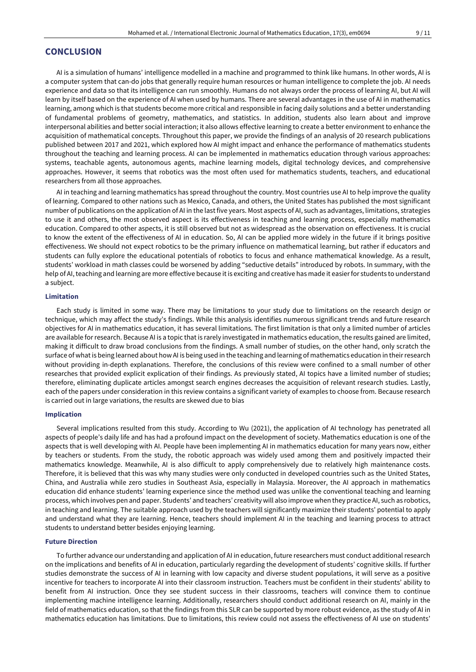### **CONCLUSION**

AI is a simulation of humans' intelligence modelled in a machine and programmed to think like humans. In other words, AI is a computer system that can-do jobs that generally require human resources or human intelligence to complete the job. AI needs experience and data so that its intelligence can run smoothly. Humans do not always order the process of learning AI, but AI will learn by itself based on the experience of AI when used by humans. There are several advantages in the use of AI in mathematics learning, among which is that students become more critical and responsible in facing daily solutions and a better understanding of fundamental problems of geometry, mathematics, and statistics. In addition, students also learn about and improve interpersonal abilities and better social interaction; it also allows effective learning to create a better environment to enhance the acquisition of mathematical concepts. Throughout this paper, we provide the findings of an analysis of 20 research publications published between 2017 and 2021, which explored how AI might impact and enhance the performance of mathematics students throughout the teaching and learning process. AI can be implemented in mathematics education through various approaches: systems, teachable agents, autonomous agents, machine learning models, digital technology devices, and comprehensive approaches. However, it seems that robotics was the most often used for mathematics students, teachers, and educational researchers from all those approaches.

AI in teaching and learning mathematics has spread throughout the country. Most countries use AI to help improve the quality of learning. Compared to other nations such as Mexico, Canada, and others, the United States has published the most significant number of publications on the application of AI in the last five years. Most aspects of AI, such as advantages, limitations, strategies to use it and others, the most observed aspect is its effectiveness in teaching and learning process, especially mathematics education. Compared to other aspects, it is still observed but not as widespread as the observation on effectiveness. It is crucial to know the extent of the effectiveness of AI in education. So, AI can be applied more widely in the future if it brings positive effectiveness. We should not expect robotics to be the primary influence on mathematical learning, but rather if educators and students can fully explore the educational potentials of robotics to focus and enhance mathematical knowledge. As a result, students' workload in math classes could be worsened by adding "seductive details" introduced by robots. In summary, with the help of AI, teaching and learning are more effective because it is exciting and creative has made it easier for students to understand a subject.

#### **Limitation**

Each study is limited in some way. There may be limitations to your study due to limitations on the research design or technique, which may affect the study's findings. While this analysis identifies numerous significant trends and future research objectives for AI in mathematics education, it has several limitations. The first limitation is that only a limited number of articles are available for research. Because AI is a topic that is rarely investigated in mathematics education, the results gained are limited, making it difficult to draw broad conclusions from the findings. A small number of studies, on the other hand, only scratch the surface of whatis being learned about how AI is being used in the teaching and learning of mathematics education in theirresearch without providing in-depth explanations. Therefore, the conclusions of this review were confined to a small number of other researches that provided explicit explication of their findings. As previously stated, AI topics have a limited number of studies; therefore, eliminating duplicate articles amongst search engines decreases the acquisition of relevant research studies. Lastly, each of the papers under consideration in this review contains a significant variety of examples to choose from. Because research is carried out in large variations, the results are skewed due to bias

### **Implication**

Several implications resulted from this study. According to Wu (2021), the application of AI technology has penetrated all aspects of people's daily life and has had a profound impact on the development of society. Mathematics education is one of the aspects that is well developing with AI. People have been implementing AI in mathematics education for many years now, either by teachers or students. From the study, the robotic approach was widely used among them and positively impacted their mathematics knowledge. Meanwhile, AI is also difficult to apply comprehensively due to relatively high maintenance costs. Therefore, it is believed that this was why many studies were only conducted in developed countries such as the United States, China, and Australia while zero studies in Southeast Asia, especially in Malaysia. Moreover, the AI approach in mathematics education did enhance students' learning experience since the method used was unlike the conventional teaching and learning process, which involves pen and paper. Students' and teachers' creativity will also improve when they practice AI, such as robotics, in teaching and learning. The suitable approach used by the teachers will significantly maximize their students' potential to apply and understand what they are learning. Hence, teachers should implement AI in the teaching and learning process to attract students to understand better besides enjoying learning.

### **Future Direction**

To further advance our understanding and application of AI in education, future researchers must conduct additional research on the implications and benefits of AI in education, particularly regarding the development of students' cognitive skills. If further studies demonstrate the success of AI in learning with low capacity and diverse student populations, it will serve as a positive incentive for teachers to incorporate AI into their classroom instruction. Teachers must be confident in their students' ability to benefit from AI instruction. Once they see student success in their classrooms, teachers will convince them to continue implementing machine intelligence learning. Additionally, researchers should conduct additional research on AI, mainly in the field of mathematics education, so that the findings from this SLR can be supported by more robust evidence, as the study of AI in mathematics education has limitations. Due to limitations, this review could not assess the effectiveness of AI use on students'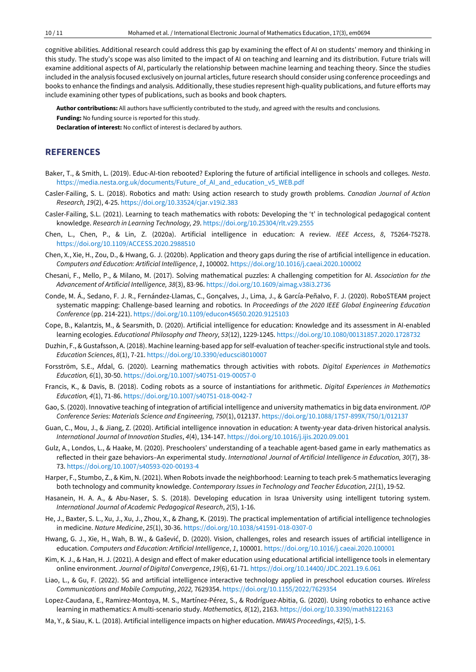cognitive abilities. Additional research could address this gap by examining the effect of AI on students' memory and thinking in this study. The study's scope was also limited to the impact of AI on teaching and learning and its distribution. Future trials will examine additional aspects of AI, particularly the relationship between machine learning and teaching theory. Since the studies included in the analysis focused exclusively on journal articles, future research should consider using conference proceedings and books to enhance the findings and analysis. Additionally, these studies represent high-quality publications, and future efforts may include examining other types of publications, such as books and book chapters.

**Author contributions:** All authors have sufficiently contributed to the study, and agreed with the results and conclusions.

**Funding:** No funding source is reported for this study.

**Declaration of interest:** No conflict of interest is declared by authors.

# **REFERENCES**

- Baker, T., & Smith, L. (2019). Educ-AI-tion rebooted? Exploring the future of artificial intelligence in schools and colleges. *Nesta*. [https://media.nesta.org.uk/documents/Future\\_of\\_AI\\_and\\_education\\_v5\\_WEB.pdf](https://media.nesta.org.uk/documents/Future_of_AI_and_education_v5_WEB.pdf)
- Casler-Failing, S. L. (2018). Robotics and math: Using action research to study growth problems. *Canadian Journal of Action Research, 19*(2), 4-25. <https://doi.org/10.33524/cjar.v19i2.383>
- Casler-Failing, S.L. (2021). Learning to teach mathematics with robots: Developing the 't' in technological pedagogical content knowledge. *Research in Learning Technology, 29*. <https://doi.org/10.25304/rlt.v29.2555>
- Chen, L., Chen, P., & Lin, Z. (2020a). Artificial intelligence in education: A review. *IEEE Access*, *8*, 75264-75278. <https://doi.org/10.1109/ACCESS.2020.2988510>
- Chen, X., Xie, H., Zou, D., & Hwang, G. J. (2020b). Application and theory gaps during the rise of artificial intelligence in education. *Computers and Education: Artificial Intelligence*, *1*, 100002. <https://doi.org/10.1016/j.caeai.2020.100002>
- Chesani, F., Mello, P., & Milano, M. (2017). Solving mathematical puzzles: A challenging competition for AI. *Association for the Advancement of Artificial Intelligence, 38*(3), 83-96. <https://doi.org/10.1609/aimag.v38i3.2736>
- Conde, M. Á., Sedano, F. J. R., Fernández-Llamas, C., Gonçalves, J., Lima, J., & García-Peñalvo, F. J. (2020). RoboSTEAM project systematic mapping: Challenge-based learning and robotics. In *Proceedings of the 2020 IEEE Global Engineering Education Conference* (pp. 214-221). <https://doi.org/10.1109/educon45650.2020.9125103>
- Cope, B., Kalantzis, M., & Searsmith, D. (2020). Artificial intelligence for education: Knowledge and its assessment in AI-enabled learning ecologies. *Educational Philosophy and Theory, 53*(12), 1229-1245. <https://doi.org/10.1080/00131857.2020.1728732>
- Duzhin, F., & Gustafsson, A. (2018). Machine learning-based app for self-evaluation of teacher-specific instructional style and tools. *Education Sciences*, *8*(1), 7-21. <https://doi.org/10.3390/educsci8010007>
- Forsström, S.E., Afdal, G. (2020). Learning mathematics through activities with robots. *Digital Experiences in Mathematics Education, 6*(1), 30-50. <https://doi.org/10.1007/s40751-019-00057-0>
- Francis, K., & Davis, B. (2018). Coding robots as a source of instantiations for arithmetic. *Digital Experiences in Mathematics Education, 4*(1), 71-86. <https://doi.org/10.1007/s40751-018-0042-7>
- Gao, S. (2020). Innovative teaching of integration of artificial intelligence and university mathematics in big data environment. *IOP Conference Series: Materials Science and Engineering, 750*(1), 012137. <https://doi.org/10.1088/1757-899X/750/1/012137>
- Guan, C., Mou, J., & Jiang, Z. (2020). Artificial intelligence innovation in education: A twenty-year data-driven historical analysis. *International Journal of Innovation Studies*, *4*(4), 134-147. <https://doi.org/10.1016/j.ijis.2020.09.001>
- Gulz, A., Londos, L., & Haake, M. (2020). Preschoolers' understanding of a teachable agent-based game in early mathematics as reflected in their gaze behaviors–An experimental study. *International Journal of Artificial Intelligence in Education, 30*(7), 38- 73. <https://doi.org/10.1007/s40593-020-00193-4>
- Harper, F., Stumbo, Z., & Kim, N. (2021). When Robots invade the neighborhood: Learning to teach prek-5 mathematics leveraging both technology and community knowledge. *Contemporary Issues in Technology and Teacher Education, 21*(1), 19-52.
- Hasanein, H. A. A., & Abu-Naser, S. S. (2018). Developing education in Israa University using intelligent tutoring system. *International Journal of Academic Pedagogical Research*, *2*(5), 1-16.
- He, J., Baxter, S. L., Xu, J., Xu, J., Zhou, X., & Zhang, K. (2019). The practical implementation of artificial intelligence technologies in medicine. *Nature Medicine*, *25*(1), 30-36. <https://doi.org/10.1038/s41591-018-0307-0>
- Hwang, G. J., Xie, H., Wah, B. W., & Gašević, D. (2020). Vision, challenges, roles and research issues of artificial intelligence in education. *Computers and Education: Artificial Intelligence*, *1*, 100001. <https://doi.org/10.1016/j.caeai.2020.100001>
- Kim, K. J., & Han, H. J. (2021). A design and effect of maker education using educational artificial intelligence tools in elementary online environment. *Journal of Digital Convergence*, *19*(6), 61-71. <https://doi.org/10.14400/JDC.2021.19.6.061>
- Liao, L., & Gu, F. (2022). 5G and artificial intelligence interactive technology applied in preschool education courses. *Wireless Communications and Mobile Computing*, *2022,* 7629354. <https://doi.org/10.1155/2022/7629354>
- Lopez-Caudana, E., Ramirez-Montoya, M. S., Martínez-Pérez, S., & Rodríguez-Abitia, G. (2020). Using robotics to enhance active learning in mathematics: A multi-scenario study. *Mathematics, 8*(12), 2163. <https://doi.org/10.3390/math8122163>
- Ma, Y., & Siau, K. L. (2018). Artificial intelligence impacts on higher education. *MWAIS Proceedings*, *42*(5), 1-5.